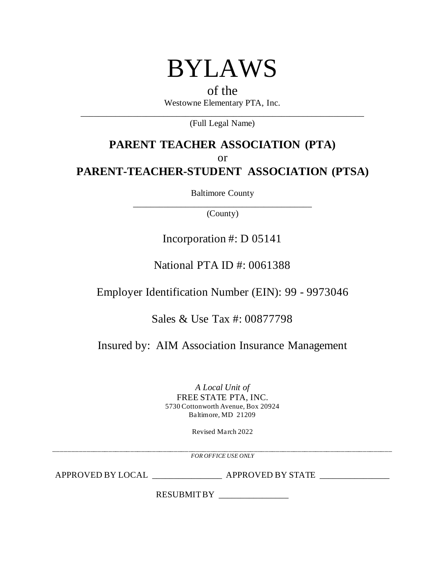

## of the Westowne Elementary PTA, Inc. \_\_\_\_\_\_\_\_\_\_\_\_\_\_\_\_\_\_\_\_\_\_\_\_\_\_\_\_\_\_\_\_\_\_\_\_\_\_\_\_\_\_\_\_\_\_\_\_\_\_\_\_\_\_\_\_\_\_\_\_\_\_\_\_\_

(Full Legal Name)

# **PARENT TEACHER ASSOCIATION (PTA)** or **PARENT-TEACHER-STUDENT ASSOCIATION (PTSA)**

Baltimore County

\_\_\_\_\_\_\_\_\_\_\_\_\_\_\_\_\_\_\_\_\_\_\_\_\_\_\_\_\_\_\_\_\_\_\_\_\_\_\_\_\_ (County)

# Incorporation #: D 05141

# National PTA ID #: 0061388

Employer Identification Number (EIN): 99 - 9973046

## Sales & Use Tax #: 00877798

Insured by: AIM Association Insurance Management

*A Local Unit of* FREE STATE PTA, INC. 5730 Cottonworth Avenue, Box 20924 Baltimore, MD 21209

Revised March 2022

\_\_\_\_\_\_\_\_\_\_\_\_\_\_\_\_\_\_\_\_\_\_\_\_\_\_\_\_\_\_\_\_\_\_\_\_\_\_\_\_\_\_\_\_\_\_\_\_\_\_\_\_\_\_\_\_\_\_\_\_\_\_\_\_\_\_\_\_\_\_\_\_\_\_\_\_\_\_\_\_\_\_\_\_\_\_\_\_\_\_\_\_\_ *FOR OFFICE USE ONLY*

APPROVED BY LOCAL \_\_\_\_\_\_\_\_\_\_\_\_\_\_\_\_ APPROVED BY STATE \_\_\_\_\_\_\_\_\_\_\_\_\_\_\_\_

RESUBMIT BY \_\_\_\_\_\_\_\_\_\_\_\_\_\_\_\_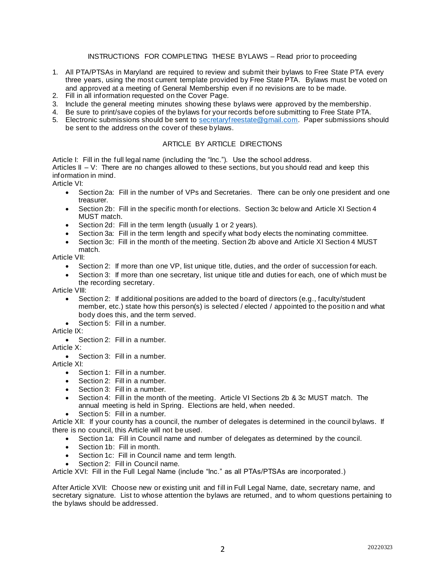### INSTRUCTIONS FOR COMPLETING THESE BYLAWS – Read prior to proceeding

- 1. All PTA/PTSAs in Maryland are required to review and submit their bylaws to Free State PTA every three years, using the most current template provided by Free State PTA. Bylaws must be voted on and approved at a meeting of General Membership even if no revisions are to be made.
- 2. Fill in all information requested on the Cover Page.
- 3. Include the general meeting minutes showing these bylaws were approved by the membership.
- 4. Be sure to print/save copies of the bylaws for your records before submitting to Free State PTA.
- 5. Electronic submissions should be sent to secretaryfreestate@gmail.com. Paper submissions should be sent to the address on the cover of these bylaws.

## ARTICLE BY ARTICLE DIRECTIONS

Article I: Fill in the full legal name (including the "Inc."). Use the school address. Articles  $II - V$ : There are no changes allowed to these sections, but you should read and keep this information in mind.

Article VI:

- Section 2a: Fill in the number of VPs and Secretaries. There can be only one president and one treasurer.
- Section 2b: Fill in the specific month for elections. Section 3c below and Article XI Section 4 MUST match.
- Section 2d: Fill in the term length (usually 1 or 2 years).
- Section 3a: Fill in the term length and specify what body elects the nominating committee.
- Section 3c: Fill in the month of the meeting. Section 2b above and Article XI Section 4 MUST match.

Article VII:

- Section 2: If more than one VP, list unique title, duties, and the order of succession for each.
- Section 3: If more than one secretary, list unique title and duties for each, one of which must be the recording secretary.

Article VIII:

- Section 2: If additional positions are added to the board of directors (e.g., faculty/student member, etc.) state how this person(s) is selected / elected / appointed to the position and what body does this, and the term served.
	- Section 5: Fill in a number.

### Article IX:

• Section 2: Fill in a number.

Article X:

• Section 3: Fill in a number.

Article XI:

- Section 1: Fill in a number.
- Section 2: Fill in a number.
- Section 3: Fill in a number.
- Section 4: Fill in the month of the meeting. Article VI Sections 2b & 3c MUST match. The annual meeting is held in Spring. Elections are held, when needed.
- Section 5: Fill in a number.

Article XII: If your county has a council, the number of delegates is determined in the council bylaws. If there is no council, this Article will not be used.

- Section 1a: Fill in Council name and number of delegates as determined by the council.
- Section 1b: Fill in month.
- Section 1c: Fill in Council name and term length.
- Section 2: Fill in Council name.

Article XVI: Fill in the Full Legal Name (include "Inc." as all PTAs/PTSAs are incorporated.)

After Article XVII: Choose new or existing unit and fill in Full Legal Name, date, secretary name, and secretary signature. List to whose attention the bylaws are returned, and to whom questions pertaining to the bylaws should be addressed.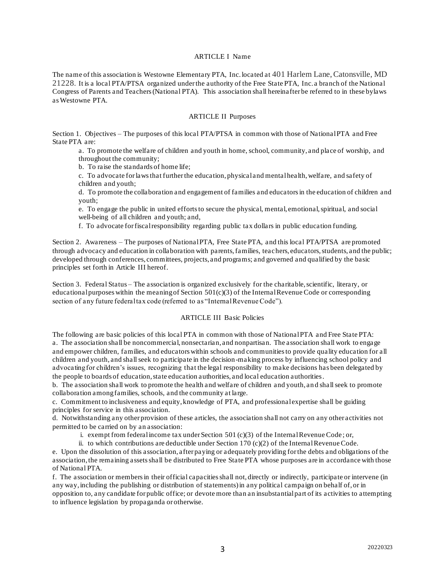### ARTICLE I Name

The name of this association is Westowne Elementary PTA, Inc. located at 401 Harlem Lane, Catonsville, MD 21228. It is a local PTA/PTSA organized under the authority of the Free State PTA, Inc. a branch of the National Congress of Parents and Teachers (National PTA). This association shall hereinafter be referred to in these bylaws as Westowne PTA.

#### ARTICLE II Purposes

Section 1. Objectives – The purposes of this local PTA/PTSA in common with those of National PTA and Free State PTA are:

a. To promote the welfare of children and youth in home, school, community, and place of worship, and throughout the community;

b. To raise the standards of home life;

c. To advocate for laws that further the education, physical and mental health, welfare, and safety of children and youth;

d. To promote the collaboration and engagement of families and educators in the education of children and youth;

e. To engage the public in united efforts to secure the physical, mental, emotional, spiritual, and social well-being of all children and youth; and,

f. To advocate for fiscal responsibility regarding public tax dollars in public education funding.

Section 2. Awareness – The purposes of National PTA, Free State PTA, and this local PTA/PTSA are promoted through advocacy and education in collaboration with parents, families, teachers, educators, students, and the public; developed through conferences, committees, projects, and programs; and governed and qualified by the basic principles set forth in Article III hereof.

Section 3. Federal Status – The association is organized exclusively for the charitable, scientific, literary, or educational purposes within the meaning of Section  $501(c)(3)$  of the Internal Revenue Code or corresponding section of any future federal tax code (referred to as "Internal Revenue Code").

#### ARTICLE III Basic Policies

The following are basic policies of this local PTA in common with those of National PTA and Free State PTA: a. The association shall be noncommercial, nonsectarian, and nonpartisan. The association shall work to engage and empower children, families, and educators within schools and communities to provide quality education for all children and youth, and shall seek to participate in the decision-making process by influencing school policy and advocating for children's issues, recognizing that the legal responsibility to make decisions has been delegated by the people to boards of education, state education authorities, and local education authorities.

b. The association shall work to promote the health and welfare of children and youth, an d shall seek to promote collaboration among families, schools, and the community at large.

c. Commitment to inclusiveness and equity, knowledge of PTA, and professional expertise shall be guiding principles for service in this association.

d. Notwithstanding any other provision of these articles, the association shall not carry on any other activities not permitted to be carried on by an association:

i. exempt from federal income tax under Section 501 (c)(3) of the Internal Revenue Code; or,

ii. to which contributions are deductible under Section 170  $(c)(2)$  of the Internal Revenue Code.

e. Upon the dissolution of this association, after paying or adequately providing for the debts and obligations of the association, the remaining assets shall be distributed to Free State PTA whose purposes are in accordance with those of National PTA.

f. The association or members in their official capacities shall not, directly or indirectly, participate or intervene (in any way, including the publishing or distribution of statements) in any political campaign on behalf of, or in opposition to, any candidate for public office; or devote more than an insubstantial part of its activities to attempting to influence legislation by propaganda or otherwise.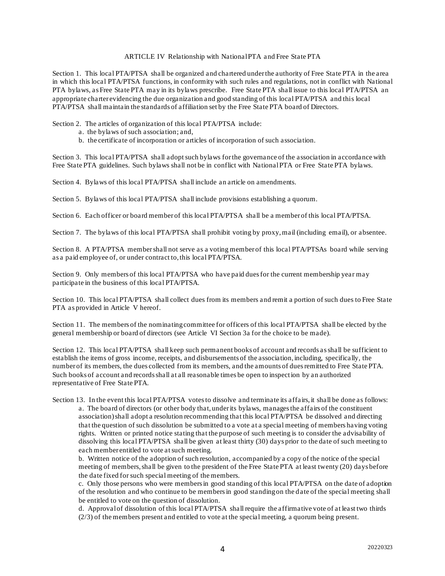### ARTICLE IV Relationship with National PTA and Free State PTA

Section 1. This local PTA/PTSA shall be organized and chartered under the authority of Free State PTA in the area in which this local PTA/PTSA functions, in conformity with such rules and regulations, not in conflict with National PTA bylaws, as Free State PTA may in its bylaws prescribe. Free State PTA shall issue to this local PTA/PTSA an appropriate charter evidencing the due organization and good standing of this local PTA/PTSA and this local PTA/PTSA shall maintain the standards of affiliation set by the Free State PTA board of Directors.

Section 2. The articles of organization of this local PTA/PTSA include:

- a. the bylaws of such association; and,
- b. the certificate of incorporation or articles of incorporation of such association.

Section 3. This local PTA/PTSA shall adopt such bylaws for the governance of the association in accordance with Free State PTA guidelines. Such bylaws shall not be in conflict with National PTA or Free State PTA bylaws.

Section 4. Bylaws of this local PTA/PTSA shall include an article on amendments.

Section 5. Bylaws of this local PTA/PTSA shall include provisions establishing a quorum.

Section 6. Each officer or board member of this local PTA/PTSA shall be a member of this local PTA/PTSA.

Section 7. The bylaws of this local PTA/PTSA shall prohibit voting by proxy, mail (including email), or absentee.

Section 8. A PTA/PTSA member shall not serve as a voting member of this local PTA/PTSAs board while serving as a paid employee of, or under contract to, this local PTA/PTSA.

Section 9. Only members of this local PTA/PTSA who have paid dues for the current membership year may participate in the business of this local PTA/PTSA.

Section 10. This local PTA/PTSA shall collect dues from its members and remit a portion of such dues to Free State PTA as provided in Article V hereof.

Section 11. The members of the nominating committee for officers of this local PTA/PTSA shall be elected by the general membership or board of directors (see Article VI Section 3a for the choice to be made).

Section 12. This local PTA/PTSA shall keep such permanent books of account and records as shall be sufficient to establish the items of gross income, receipts, and disbursements of the association, including, specifically, the number of its members, the dues collected from its members, and the amounts of dues remitted to Free State PTA. Such books of account and records shall at all reasonable times be open to inspection by an authorized representative of Free State PTA.

Section 13. In the event this local PTA/PTSA votes to dissolve and terminate its affairs, it shall be done as follows: a. The board of directors (or other body that, under its bylaws, manages the affairs of the constituent association) shall adopt a resolution recommending that this local PTA/PTSA be dissolved and directing that the question of such dissolution be submitted to a vote at a special meeting of members having voting rights. Written or printed notice stating that the purpose of such meeting is to consider the advisability of dissolving this local PTA/PTSA shall be given at least thirty (30) days prior to the date of such meeting to each member entitled to vote at such meeting.

b. Written notice of the adoption of such resolution, accompanied by a copy of the notice of the special meeting of members, shall be given to the president of the Free State PTA at least twenty (20) days before the date fixed for such special meeting of the members.

c. Only those persons who were members in good standing of this local PTA/PTSA on the date of adoption of the resolution and who continue to be members in good standing on the d ate of the special meeting shall be entitled to vote on the question of dissolution.

d. Approval of dissolution of this local PTA/PTSA shall require the affirmative vote of at least two thirds  $(2/3)$  of the members present and entitled to vote at the special meeting, a quorum being present.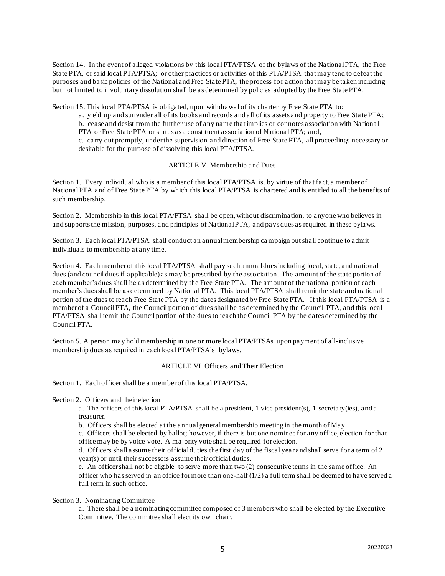Section 14. In the event of alleged violations by this local PTA/PTSA of the bylaws of the National PTA, the Free State PTA, or said local PTA/PTSA; or other practices or activities of this PTA/PTSA that may tend to defeat the purposes and basic policies of the National and Free State PTA, the process for action that may be taken including but not limited to involuntary dissolution shall be as determined by policies adopted by the Free State PTA.

Section 15. This local PTA/PTSA is obligated, upon withdrawal of its charter by Free State PTA to:

a. yield up and surrender all of its books and records and all of its assets and property to Free State PTA; b. cease and desist from the further use of any name that implies or connotes association with National PTA or Free State PTA or status as a constituent association of National PTA; and,

c. carry out promptly, under the supervision and direction of Free State PTA, all proceedings necessary or desirable for the purpose of dissolving this local PTA/PTSA.

#### ARTICLE V Membership and Dues

Section 1. Every individual who is a member of this local PTA/PTSA is, by virtue of that fact, a member of National PTA and of Free State PTA by which this local PTA/PTSA is chartered and is entitled to all the benefits of such membership.

Section 2. Membership in this local PTA/PTSA shall be open, without discrimination, to anyone who believes in and supports the mission, purposes, and principles of National PTA, and pays dues as required in these bylaws.

Section 3. Each local PTA/PTSA shall conduct an annual membership ca mpaign but shall continue to admit individuals to membership at any time.

Section 4. Each member of this local PTA/PTSA shall pay such annual dues including local, state, and national dues (and council dues if applicable) as may be prescribed by the association. The amount of the state portion of each member's dues shall be as determined by the Free State PTA. The amount of the national portion of each member's dues shall be as determined by National PTA. This local PTA/PTSA shall remit the state and national portion of the dues to reach Free State PTA by the dates designated by Free State PTA. If this local PTA/PTSA is a member of a Council PTA, the Council portion of dues shall be as determined by the Council PTA, and this local PTA/PTSA shall remit the Council portion of the dues to reach the Council PTA by the dates determined by the Council PTA.

Section 5. A person may hold membership in one or more local PTA/PTSAs upon payment of all-inclusive membership dues as required in each local PTA/PTSA's bylaws.

### ARTICLE VI Officers and Their Election

Section 1. Each officer shall be a member of this local PTA/PTSA.

Section 2. Officers and their election

a. The officers of this local PTA/PTSA shall be a president, 1 vice president(s), 1 secretary(ies), and a treasurer.

b. Officers shall be elected at the annual general membership meeting in the month of May.

c. Officers shall be elected by ballot; however, if there is but one nominee for any office, election for that office may be by voice vote. A majority vote shall be required for election.

d. Officers shall assume their official duties the first day of the fiscal year and shall serve for a term of 2 year(s) or until their successors assume their official duties.

e. An officer shall not be eligible to serve more than two (2) consecutive terms in the same office. An officer who has served in an office for more than one-half (1/2) a full term shall be deemed to have served a full term in such office.

Section 3. Nominating Committee

a. There shall be a nominating committee composed of 3 members who shall be elected by the Executive Committee. The committee shall elect its own chair.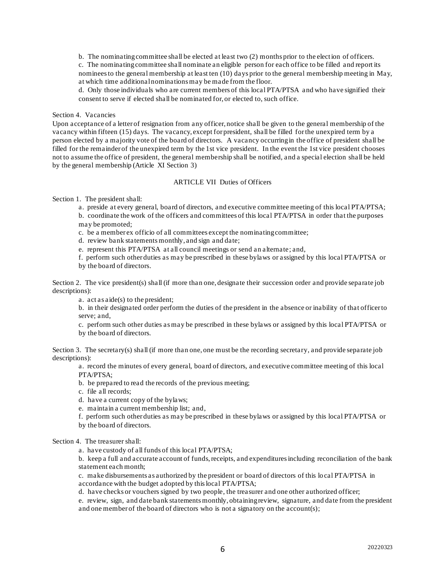b. The nominating committee shall be elected at least two (2) months prior to the election of officers.

c. The nominating committee shall nominate an eligible person for each office to be filled and report its nominees to the general membership at least ten (10) days prior to the general membership meeting in May, at which time additional nominations may be made from the floor.

d. Only those individuals who are current members of this local PTA/PTSA and who have signified their consent to serve if elected shall be nominated for, or elected to, such office.

## Section 4. Vacancies

Upon acceptance of a letter of resignation from any officer, notice shall be given to the general membership of the vacancy within fifteen (15) days. The vacancy, except for president, shall be filled for the unexpired term by a person elected by a majority vote of the board of directors. A vacancy occurring in the office of president shall be filled for the remainder of the unexpired term by the 1st vice president. In the event the 1st vice president chooses not to assume the office of president, the general membership shall be notified, and a special election shall be held by the general membership (Article XI Section 3)

#### ARTICLE VII Duties of Officers

Section 1. The president shall:

a. preside at every general, board of directors, and executive committee meeting of this local PTA/PTSA; b. coordinate the work of the officers and committees of this local PTA/PTSA in order that the purposes may be promoted;

- c. be a member ex officio of all committees except the nominating committee;
- d. review bank statements monthly, and sign and date;
- e. represent this PTA/PTSA at all council meetings or send an alternate; and,

f. perform such other duties as may be prescribed in these bylaws or assigned by this local PTA/PTSA or by the board of directors.

Section 2. The vice president(s) shall (if more than one, designate their succession order and provide separate job descriptions):

a. act as aide(s) to the president;

b. in their designated order perform the duties of the president in the absence or inability of that officer to serve; and,

c. perform such other duties as may be prescribed in these bylaws or assigned by this local PTA/PTSA or by the board of directors.

Section 3. The secretary(s) shall (if more than one, one must be the recording secretary, and provide separate job descriptions):

a. record the minutes of every general, board of directors, and executive committee meeting of this local PTA/PTSA;

b. be prepared to read the records of the previous meeting;

c. file all records;

d. have a current copy of the bylaws;

e. maintain a current membership list; and,

f. perform such other duties as may be prescribed in these bylaws or assigned by this local PTA/PTSA or by the board of directors.

Section 4. The treasurer shall:

a. have custody of all funds of this local PTA/PTSA;

b. keep a full and accurate account of funds,receipts, and expenditures including reconciliation of the bank statement each month;

c. make disbursements as authorized by the president or board of directors of this lo cal PTA/PTSA in accordance with the budget adopted by this local PTA/PTSA;

d. have checks or vouchers signed by two people, the treasurer and one other authorized officer;

e. review, sign, and date bank statements monthly, obtaining review, signature, and date from the president and one member of the board of directors who is not a signatory on the account(s);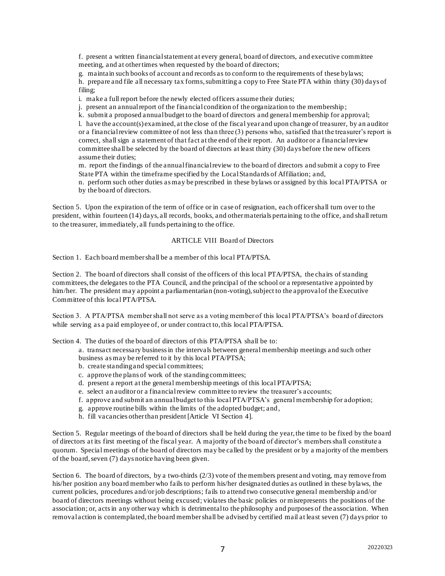f. present a written financial statement at every general, board of directors, and executive committee meeting, and at other times when requested by the board of directors;

g. maintain such books of account and records as to conform to the requirements of these bylaws; h. prepare and file all necessary tax forms,submitting a copy to Free State PTA within thirty (30) days of filing;

i. make a full report before the newly elected officers assume their duties;

j. present an annual report of the financial condition of the organization to the membership ;

k. submit a proposed annual budget to the board of directors and general membership for approval;

l. have the account(s) examined, at the close of the fiscal year and upon change of treasurer, by an auditor or a financial review committee of not less than three (3) persons who, satisfied that the treasurer's report is correct, shall sign a statement of that fact at the end of their report. An auditor or a financial review committee shall be selected by the board of directors at least thirty (30) days before the new officers assume their duties;

m. report the findings of the annual financial review to the board of directors and submit a copy to Free State PTA within the timeframe specified by the LocalStandards of Affiliation; and,

n. perform such other duties as may be prescribed in these bylaws or assigned by this local PTA/PTSA or by the board of directors.

Section 5. Upon the expiration of the term of office or in case of resignation, each officer shall turn over to the president, within fourteen (14) days, all records, books, and other materials pertaining to the office, and shall return to the treasurer, immediately, all funds pertaining to the office.

#### ARTICLE VIII Board of Directors

Section 1. Each board member shall be a member of this local PTA/PTSA.

Section 2. The board of directors shall consist of the officers of this local PTA/PTSA, the chairs of standing committees, the delegates to the PTA Council, and the principal of the school or a representative appointed by him/her. The president may appoint a parliamentarian (non-voting), subject to the approval of the Executive Committee of this local PTA/PTSA.

Section 3. A PTA/PTSA member shall not serve as a voting member of this local PTA/PTSA's board of directors while serving as a paid employee of, or under contract to, this local PTA/PTSA.

Section 4. The duties of the board of directors of this PTA/PTSA shall be to:

- a. transact necessary business in the intervals between general membership meetings and such other business as may be referred to it by this local PTA/PTSA;
- b. create standing and special committees;
- c. approve the plans of work of the standing committees;
- d. present a report at the general membership meetings of this local PTA/PTSA;
- e. select an auditor or a financial review committee to review the treasurer's accounts;
- f. approve and submit an annual budget to this local PTA/PTSA's general membership for adoption;
- g. approve routine bills within the limits of the adopted budget; and,
- h. fill vacancies other than president [Article VI Section 4].

Section 5. Regular meetings of the board of directors shall be held during the year, the time to be fixed by the board of directors at its first meeting of the fiscal year. A majority of the board of director's members shall constitute a quorum. Special meetings of the board of directors may be called by the president or by a majority of the members of the board, seven (7) days notice having been given.

Section 6. The board of directors, by a two-thirds (2/3) vote of the members present and voting, may remove from his/her position any board member who fails to perform his/her designated duties as outlined in these bylaws, the current policies, procedures and/or job descriptions; fails to attend two consecutive general membership and/or board of directors meetings without being excused; violates the basic policies or misrepresents the positions of the association; or, acts in any other way which is detrimental to the philosophy and purposes of the association. When removal action is contemplated, the board member shall be advised by certified mail at least seven (7) days prior to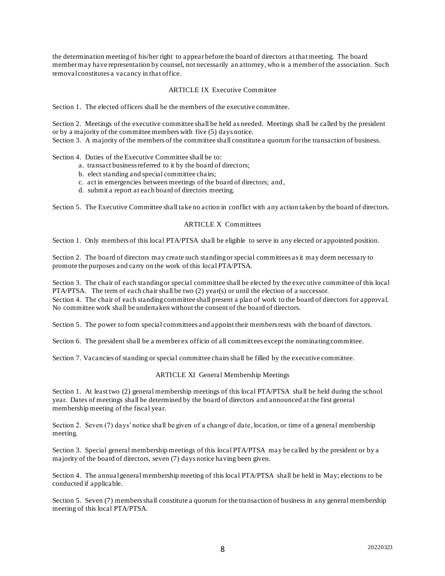the determination meetingof his/her right to appear before the board of directors at that meeting. The board member may have representation by counsel, not necessarily an attorney, who is a member of the association. Such removal constitutes a vacancy in that office.

#### ARTICLE IX Executive Committee

Section 1. The elected officers shall be the members of the executive committee.

Section 2. Meetings of the executive committee shall be held as needed. Meetings shall be called by the president or by a majority of the committee members with five (5) days notice.

Section 3. A majority of the members of the committee shall constitute a quorum for the transaction of business.

Section 4. Duties of the Executive Committee shall be to:

- a. transact business referred to it by the board of directors;
- b. elect standing and special committee chairs;
- c. act in emergencies between meetings of the board of directors; and,
- d. submit a report at each board of directors meeting.

Section 5. The Executive Committee shall take no action in conflict with any action taken by the board of directors.

#### ARTICLE X Committees

Section 1. Only members of this local PTA/PTSA shall be eligible to serve in any elected or appointed position.

Section 2. The board of directors may create such standing or special committees as it may deem necessary to promote the purposes and carry on the work of this local PTA/PTSA.

Section 3. The chair of each standing or special committee shall be elected by the executive committee of this local PTA/PTSA. The term of each chair shall be two  $(2)$  year(s) or until the election of a successor. Section 4. The chair of each standing committee shall present a plan of work to the board of directors for approval. No committee work shall be undertaken without the consent of the board of directors.

Section 5. The power to form special committees and appoint their members rests with the board of directors.

Section 6. The president shall be a member ex officio of all committees except the nominating committee.

Section 7. Vacancies of standing or special committee chairs shall be filled by the executive committee.

#### ARTICLE XI General Membership Meetings

Section 1. At least two (2) general membership meetings of this local PTA/PTSA shall be held during the school year. Dates of meetings shall be determined by the board of directors and announced at the first general membership meeting of the fiscal year.

Section 2. Seven (7) days' notice shall be given of a change of date, location, or time of a general membership meeting.

Section 3. Special general membership meetings of this local PTA/PTSA may be called by the president or by a majority of the board of directors, seven (7) days notice having been given.

Section 4. The annual general membership meeting of this local PTA/PTSA shall be held in May; elections to be conducted if applicable.

Section 5. Seven (7) members shall constitute a quorum for the transaction of business in any general membership meeting of this local PTA/PTSA.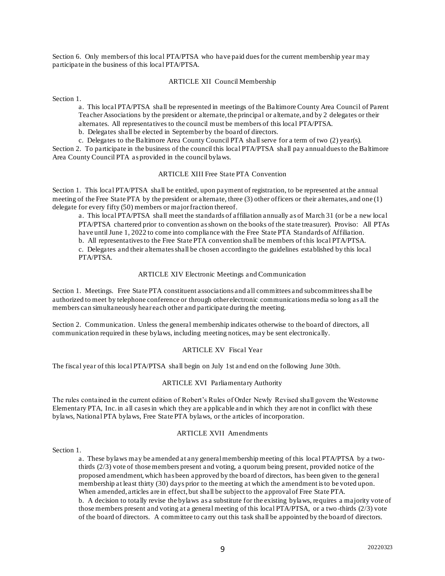Section 6. Only members of this local PTA/PTSA who have paid dues for the current membership year may participate in the business of this local PTA/PTSA.

#### ARTICLE XII Council Membership

Section 1.

a. This local PTA/PTSA shall be represented in meetings of the Baltimore County Area Council of Parent Teacher Associations by the president or alternate, the principal or alternate, and by 2 delegates or their alternates. All representatives to the council must be members of this local PTA/PTSA.

b. Delegates shall be elected in September by the board of directors.

c. Delegates to the Baltimore Area County Council PTA shall serve for a term of two (2) year(s).

Section 2. To participate in the business of the council this local PTA/PTSA shall pay annual dues to the Baltimore Area County Council PTA as provided in the council bylaws.

#### ARTICLE XIII Free State PTA Convention

Section 1. This local PTA/PTSA shall be entitled, upon payment of registration, to be represented at the annual meeting of the Free State PTA by the president or alternate, three (3) other officers or their alternates, and one (1) delegate for every fifty (50) members or major fraction thereof.

a. This local PTA/PTSA shall meet the standards of affiliation annually as of March 31 (or be a new local PTA/PTSA chartered prior to convention as shown on the books of the state treasurer). Proviso: All PTAs have until June 1, 2022 to come into compliance with the Free State PTA Standards of Affiliation.

b. All representatives to the Free State PTA convention shall be members of this local PTA/PTSA.

c. Delegates and their alternates shall be chosen according to the guidelines established by this local PTA/PTSA.

#### ARTICLE XIV Electronic Meetings and Communication

Section 1. Meetings. Free State PTA constituent associations and all committees and subcommittees shall be authorized to meet by telephone conference or through other electronic communications media so long as all the members can simultaneously hear each other and participate during the meeting.

Section 2. Communication. Unless the general membership indicates otherwise to the board of directors, all communication required in these bylaws, including meeting notices, may be sent electronically.

### ARTICLE XV Fiscal Year

The fiscal year of this local PTA/PTSA shall begin on July 1st and end on the following June 30th.

#### ARTICLE XVI Parliamentary Authority

The rules contained in the current edition of Robert's Rules of Order Newly Revised shall govern the Westowne Elementary PTA, Inc. in all cases in which they are a pplicable and in which they are not in conflict with these bylaws, National PTA bylaws, Free State PTA bylaws, or the articles of incorporation.

#### ARTICLE XVII Amendments

#### Section 1.

a. These bylaws may be amended at any general membership meeting of this local PTA/PTSA by a twothirds (2/3) vote of those members present and voting, a quorum being present, provided notice of the proposed amendment, which has been approved by the board of directors, has been given to the general membership at least thirty (30) days prior to the meeting at which the amendment is to be voted upon. When amended, articles are in effect, but shall be subject to the approval of Free State PTA. b. A decision to totally revise the bylaws as a substitute for the existing bylaws, requires a majority vote of those members present and voting at a general meeting of this local PTA/PTSA, or a two -thirds (2/3) vote of the board of directors. A committee to carry out this task shall be appointed by the board of directors.